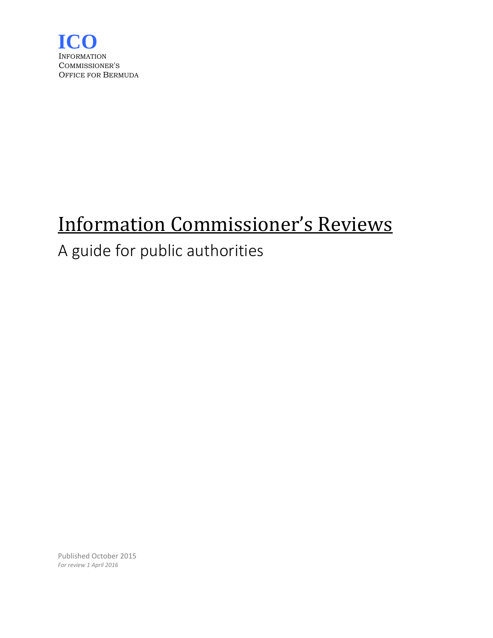

# Information Commissioner's Reviews

# A guide for public authorities

Published October 2015 *For review 1 April 2016*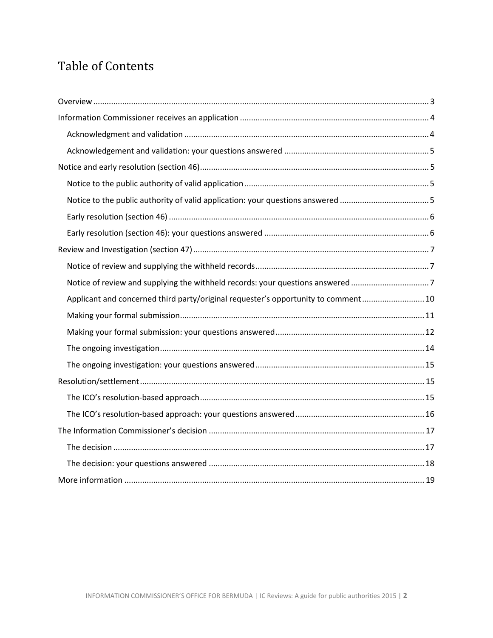# Table of Contents

| Notice of review and supplying the withheld records: your questions answered 7     |
|------------------------------------------------------------------------------------|
| Applicant and concerned third party/original requester's opportunity to comment 10 |
|                                                                                    |
|                                                                                    |
|                                                                                    |
|                                                                                    |
|                                                                                    |
|                                                                                    |
|                                                                                    |
|                                                                                    |
|                                                                                    |
|                                                                                    |
|                                                                                    |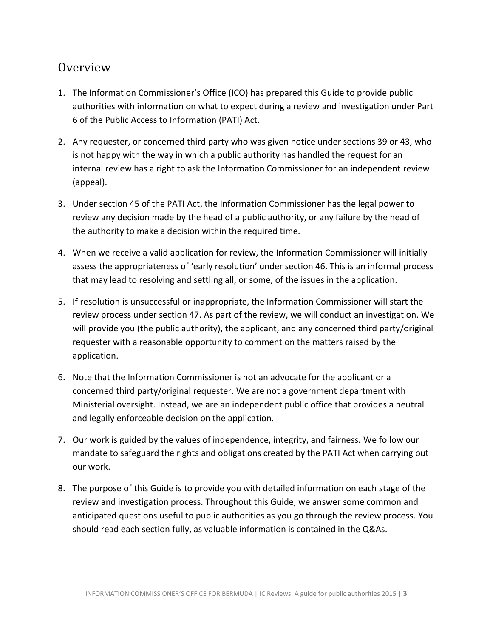# <span id="page-2-0"></span>Overview

- 1. The Information Commissioner's Office (ICO) has prepared this Guide to provide public authorities with information on what to expect during a review and investigation under Part 6 of the Public Access to Information (PATI) Act.
- 2. Any requester, or concerned third party who was given notice under sections 39 or 43, who is not happy with the way in which a public authority has handled the request for an internal review has a right to ask the Information Commissioner for an independent review (appeal).
- 3. Under section 45 of the PATI Act, the Information Commissioner has the legal power to review any decision made by the head of a public authority, or any failure by the head of the authority to make a decision within the required time.
- 4. When we receive a valid application for review, the Information Commissioner will initially assess the appropriateness of 'early resolution' under section 46. This is an informal process that may lead to resolving and settling all, or some, of the issues in the application.
- 5. If resolution is unsuccessful or inappropriate, the Information Commissioner will start the review process under section 47. As part of the review, we will conduct an investigation. We will provide you (the public authority), the applicant, and any concerned third party/original requester with a reasonable opportunity to comment on the matters raised by the application.
- 6. Note that the Information Commissioner is not an advocate for the applicant or a concerned third party/original requester. We are not a government department with Ministerial oversight. Instead, we are an independent public office that provides a neutral and legally enforceable decision on the application.
- 7. Our work is guided by the values of independence, integrity, and fairness. We follow our mandate to safeguard the rights and obligations created by the PATI Act when carrying out our work.
- 8. The purpose of this Guide is to provide you with detailed information on each stage of the review and investigation process. Throughout this Guide, we answer some common and anticipated questions useful to public authorities as you go through the review process. You should read each section fully, as valuable information is contained in the Q&As.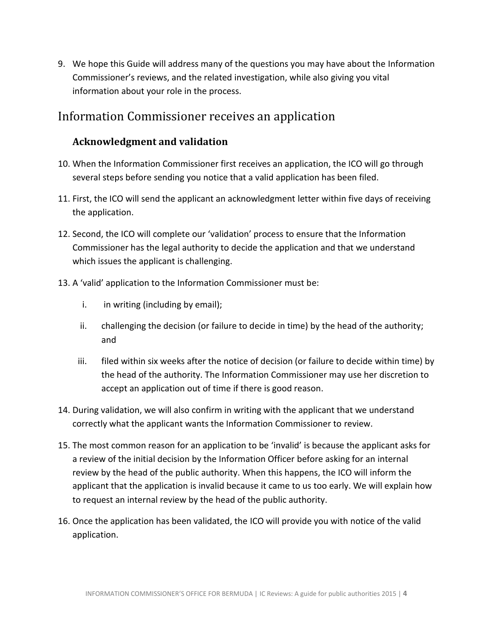9. We hope this Guide will address many of the questions you may have about the Information Commissioner's reviews, and the related investigation, while also giving you vital information about your role in the process.

## <span id="page-3-0"></span>Information Commissioner receives an application

## <span id="page-3-1"></span>**Acknowledgment and validation**

- 10. When the Information Commissioner first receives an application, the ICO will go through several steps before sending you notice that a valid application has been filed.
- 11. First, the ICO will send the applicant an acknowledgment letter within five days of receiving the application.
- 12. Second, the ICO will complete our 'validation' process to ensure that the Information Commissioner has the legal authority to decide the application and that we understand which issues the applicant is challenging.
- 13. A 'valid' application to the Information Commissioner must be:
	- i. in writing (including by email);
	- ii. challenging the decision (or failure to decide in time) by the head of the authority; and
	- iii. filed within six weeks after the notice of decision (or failure to decide within time) by the head of the authority. The Information Commissioner may use her discretion to accept an application out of time if there is good reason.
- 14. During validation, we will also confirm in writing with the applicant that we understand correctly what the applicant wants the Information Commissioner to review.
- 15. The most common reason for an application to be 'invalid' is because the applicant asks for a review of the initial decision by the Information Officer before asking for an internal review by the head of the public authority. When this happens, the ICO will inform the applicant that the application is invalid because it came to us too early. We will explain how to request an internal review by the head of the public authority.
- 16. Once the application has been validated, the ICO will provide you with notice of the valid application.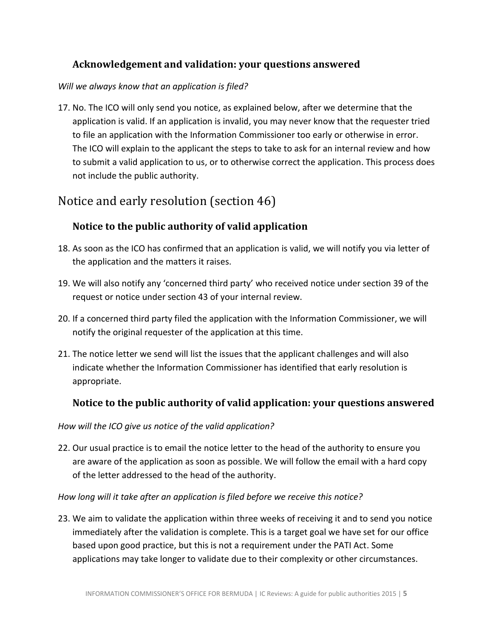## <span id="page-4-0"></span>**Acknowledgement and validation: your questions answered**

#### *Will we always know that an application is filed?*

17. No. The ICO will only send you notice, as explained below, after we determine that the application is valid. If an application is invalid, you may never know that the requester tried to file an application with the Information Commissioner too early or otherwise in error. The ICO will explain to the applicant the steps to take to ask for an internal review and how to submit a valid application to us, or to otherwise correct the application. This process does not include the public authority.

## <span id="page-4-1"></span>Notice and early resolution (section 46)

## <span id="page-4-2"></span>**Notice to the public authority of valid application**

- 18. As soon as the ICO has confirmed that an application is valid, we will notify you via letter of the application and the matters it raises.
- 19. We will also notify any 'concerned third party' who received notice under section 39 of the request or notice under section 43 of your internal review.
- 20. If a concerned third party filed the application with the Information Commissioner, we will notify the original requester of the application at this time.
- 21. The notice letter we send will list the issues that the applicant challenges and will also indicate whether the Information Commissioner has identified that early resolution is appropriate.

## <span id="page-4-3"></span>**Notice to the public authority of valid application: your questions answered**

#### *How will the ICO give us notice of the valid application?*

22. Our usual practice is to email the notice letter to the head of the authority to ensure you are aware of the application as soon as possible. We will follow the email with a hard copy of the letter addressed to the head of the authority.

*How long will it take after an application is filed before we receive this notice?*

23. We aim to validate the application within three weeks of receiving it and to send you notice immediately after the validation is complete. This is a target goal we have set for our office based upon good practice, but this is not a requirement under the PATI Act. Some applications may take longer to validate due to their complexity or other circumstances.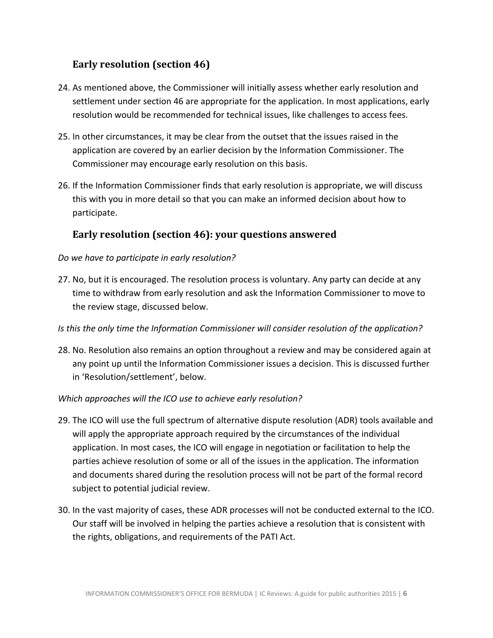## <span id="page-5-0"></span>**Early resolution (section 46)**

- 24. As mentioned above, the Commissioner will initially assess whether early resolution and settlement under section 46 are appropriate for the application. In most applications, early resolution would be recommended for technical issues, like challenges to access fees.
- 25. In other circumstances, it may be clear from the outset that the issues raised in the application are covered by an earlier decision by the Information Commissioner. The Commissioner may encourage early resolution on this basis.
- 26. If the Information Commissioner finds that early resolution is appropriate, we will discuss this with you in more detail so that you can make an informed decision about how to participate.

## <span id="page-5-1"></span>**Early resolution (section 46): your questions answered**

#### *Do we have to participate in early resolution?*

- 27. No, but it is encouraged. The resolution process is voluntary. Any party can decide at any time to withdraw from early resolution and ask the Information Commissioner to move to the review stage, discussed below.
- *Is this the only time the Information Commissioner will consider resolution of the application?*
- 28. No. Resolution also remains an option throughout a review and may be considered again at any point up until the Information Commissioner issues a decision. This is discussed further in 'Resolution/settlement', below.

#### *Which approaches will the ICO use to achieve early resolution?*

- 29. The ICO will use the full spectrum of alternative dispute resolution (ADR) tools available and will apply the appropriate approach required by the circumstances of the individual application. In most cases, the ICO will engage in negotiation or facilitation to help the parties achieve resolution of some or all of the issues in the application. The information and documents shared during the resolution process will not be part of the formal record subject to potential judicial review.
- 30. In the vast majority of cases, these ADR processes will not be conducted external to the ICO. Our staff will be involved in helping the parties achieve a resolution that is consistent with the rights, obligations, and requirements of the PATI Act.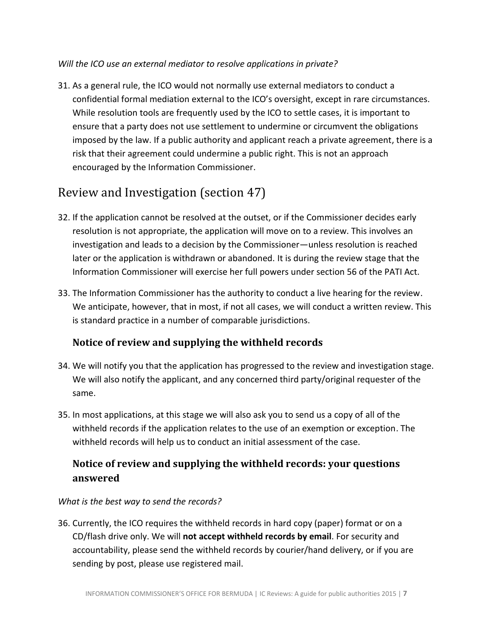## *Will the ICO use an external mediator to resolve applications in private?*

31. As a general rule, the ICO would not normally use external mediators to conduct a confidential formal mediation external to the ICO's oversight, except in rare circumstances. While resolution tools are frequently used by the ICO to settle cases, it is important to ensure that a party does not use settlement to undermine or circumvent the obligations imposed by the law. If a public authority and applicant reach a private agreement, there is a risk that their agreement could undermine a public right. This is not an approach encouraged by the Information Commissioner.

# <span id="page-6-0"></span>Review and Investigation (section 47)

- 32. If the application cannot be resolved at the outset, or if the Commissioner decides early resolution is not appropriate, the application will move on to a review. This involves an investigation and leads to a decision by the Commissioner—unless resolution is reached later or the application is withdrawn or abandoned. It is during the review stage that the Information Commissioner will exercise her full powers under section 56 of the PATI Act.
- 33. The Information Commissioner has the authority to conduct a live hearing for the review. We anticipate, however, that in most, if not all cases, we will conduct a written review. This is standard practice in a number of comparable jurisdictions.

## <span id="page-6-1"></span>**Notice of review and supplying the withheld records**

- 34. We will notify you that the application has progressed to the review and investigation stage. We will also notify the applicant, and any concerned third party/original requester of the same.
- 35. In most applications, at this stage we will also ask you to send us a copy of all of the withheld records if the application relates to the use of an exemption or exception. The withheld records will help us to conduct an initial assessment of the case.

## <span id="page-6-2"></span>**Notice of review and supplying the withheld records: your questions answered**

## *What is the best way to send the records?*

36. Currently, the ICO requires the withheld records in hard copy (paper) format or on a CD/flash drive only. We will **not accept withheld records by email**. For security and accountability, please send the withheld records by courier/hand delivery, or if you are sending by post, please use registered mail.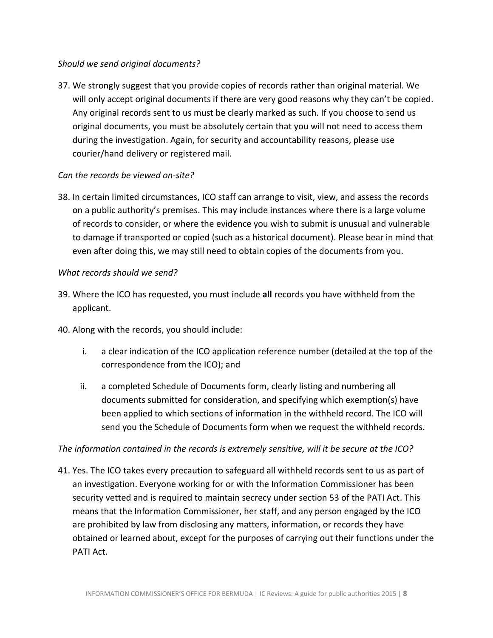## *Should we send original documents?*

37. We strongly suggest that you provide copies of records rather than original material. We will only accept original documents if there are very good reasons why they can't be copied. Any original records sent to us must be clearly marked as such. If you choose to send us original documents, you must be absolutely certain that you will not need to access them during the investigation. Again, for security and accountability reasons, please use courier/hand delivery or registered mail.

## *Can the records be viewed on-site?*

38. In certain limited circumstances, ICO staff can arrange to visit, view, and assess the records on a public authority's premises. This may include instances where there is a large volume of records to consider, or where the evidence you wish to submit is unusual and vulnerable to damage if transported or copied (such as a historical document). Please bear in mind that even after doing this, we may still need to obtain copies of the documents from you.

#### *What records should we send?*

- 39. Where the ICO has requested, you must include **all** records you have withheld from the applicant.
- 40. Along with the records, you should include:
	- i. a clear indication of the ICO application reference number (detailed at the top of the correspondence from the ICO); and
	- ii. a completed Schedule of Documents form, clearly listing and numbering all documents submitted for consideration, and specifying which exemption(s) have been applied to which sections of information in the withheld record. The ICO will send you the Schedule of Documents form when we request the withheld records.

## *The information contained in the records is extremely sensitive, will it be secure at the ICO?*

41. Yes. The ICO takes every precaution to safeguard all withheld records sent to us as part of an investigation. Everyone working for or with the Information Commissioner has been security vetted and is required to maintain secrecy under section 53 of the PATI Act. This means that the Information Commissioner, her staff, and any person engaged by the ICO are prohibited by law from disclosing any matters, information, or records they have obtained or learned about, except for the purposes of carrying out their functions under the PATI Act.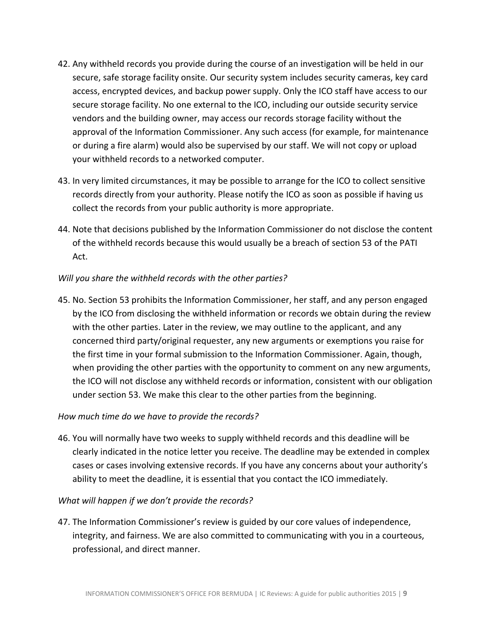- 42. Any withheld records you provide during the course of an investigation will be held in our secure, safe storage facility onsite. Our security system includes security cameras, key card access, encrypted devices, and backup power supply. Only the ICO staff have access to our secure storage facility. No one external to the ICO, including our outside security service vendors and the building owner, may access our records storage facility without the approval of the Information Commissioner. Any such access (for example, for maintenance or during a fire alarm) would also be supervised by our staff. We will not copy or upload your withheld records to a networked computer.
- 43. In very limited circumstances, it may be possible to arrange for the ICO to collect sensitive records directly from your authority. Please notify the ICO as soon as possible if having us collect the records from your public authority is more appropriate.
- 44. Note that decisions published by the Information Commissioner do not disclose the content of the withheld records because this would usually be a breach of section 53 of the PATI Act.

## *Will you share the withheld records with the other parties?*

45. No. Section 53 prohibits the Information Commissioner, her staff, and any person engaged by the ICO from disclosing the withheld information or records we obtain during the review with the other parties. Later in the review, we may outline to the applicant, and any concerned third party/original requester, any new arguments or exemptions you raise for the first time in your formal submission to the Information Commissioner. Again, though, when providing the other parties with the opportunity to comment on any new arguments, the ICO will not disclose any withheld records or information, consistent with our obligation under section 53. We make this clear to the other parties from the beginning.

## *How much time do we have to provide the records?*

46. You will normally have two weeks to supply withheld records and this deadline will be clearly indicated in the notice letter you receive. The deadline may be extended in complex cases or cases involving extensive records. If you have any concerns about your authority's ability to meet the deadline, it is essential that you contact the ICO immediately.

## *What will happen if we don't provide the records?*

47. The Information Commissioner's review is guided by our core values of independence, integrity, and fairness. We are also committed to communicating with you in a courteous, professional, and direct manner.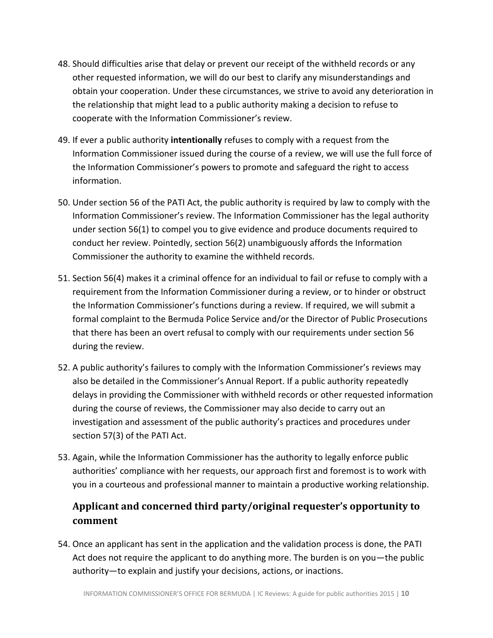- 48. Should difficulties arise that delay or prevent our receipt of the withheld records or any other requested information, we will do our best to clarify any misunderstandings and obtain your cooperation. Under these circumstances, we strive to avoid any deterioration in the relationship that might lead to a public authority making a decision to refuse to cooperate with the Information Commissioner's review.
- 49. If ever a public authority **intentionally** refuses to comply with a request from the Information Commissioner issued during the course of a review, we will use the full force of the Information Commissioner's powers to promote and safeguard the right to access information.
- 50. Under section 56 of the PATI Act, the public authority is required by law to comply with the Information Commissioner's review. The Information Commissioner has the legal authority under section 56(1) to compel you to give evidence and produce documents required to conduct her review. Pointedly, section 56(2) unambiguously affords the Information Commissioner the authority to examine the withheld records.
- 51. Section 56(4) makes it a criminal offence for an individual to fail or refuse to comply with a requirement from the Information Commissioner during a review, or to hinder or obstruct the Information Commissioner's functions during a review. If required, we will submit a formal complaint to the Bermuda Police Service and/or the Director of Public Prosecutions that there has been an overt refusal to comply with our requirements under section 56 during the review.
- 52. A public authority's failures to comply with the Information Commissioner's reviews may also be detailed in the Commissioner's Annual Report. If a public authority repeatedly delays in providing the Commissioner with withheld records or other requested information during the course of reviews, the Commissioner may also decide to carry out an investigation and assessment of the public authority's practices and procedures under section 57(3) of the PATI Act.
- 53. Again, while the Information Commissioner has the authority to legally enforce public authorities' compliance with her requests, our approach first and foremost is to work with you in a courteous and professional manner to maintain a productive working relationship.

## <span id="page-9-0"></span>**Applicant and concerned third party/original requester's opportunity to comment**

54. Once an applicant has sent in the application and the validation process is done, the PATI Act does not require the applicant to do anything more. The burden is on you—the public authority—to explain and justify your decisions, actions, or inactions.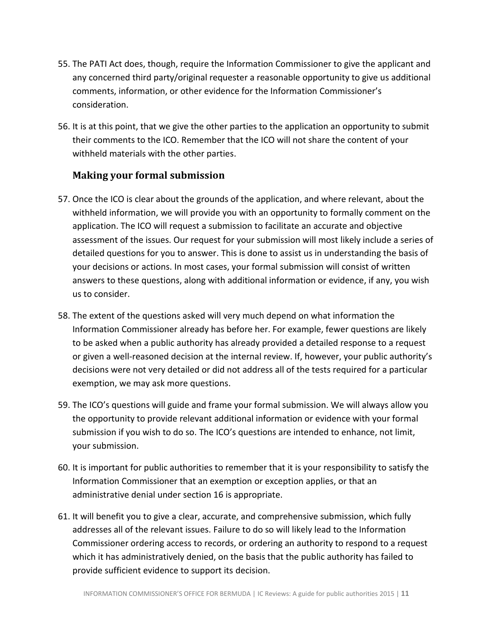- 55. The PATI Act does, though, require the Information Commissioner to give the applicant and any concerned third party/original requester a reasonable opportunity to give us additional comments, information, or other evidence for the Information Commissioner's consideration.
- 56. It is at this point, that we give the other parties to the application an opportunity to submit their comments to the ICO. Remember that the ICO will not share the content of your withheld materials with the other parties.

## <span id="page-10-0"></span>**Making your formal submission**

- 57. Once the ICO is clear about the grounds of the application, and where relevant, about the withheld information, we will provide you with an opportunity to formally comment on the application. The ICO will request a submission to facilitate an accurate and objective assessment of the issues. Our request for your submission will most likely include a series of detailed questions for you to answer. This is done to assist us in understanding the basis of your decisions or actions. In most cases, your formal submission will consist of written answers to these questions, along with additional information or evidence, if any, you wish us to consider.
- 58. The extent of the questions asked will very much depend on what information the Information Commissioner already has before her. For example, fewer questions are likely to be asked when a public authority has already provided a detailed response to a request or given a well-reasoned decision at the internal review. If, however, your public authority's decisions were not very detailed or did not address all of the tests required for a particular exemption, we may ask more questions.
- 59. The ICO's questions will guide and frame your formal submission. We will always allow you the opportunity to provide relevant additional information or evidence with your formal submission if you wish to do so. The ICO's questions are intended to enhance, not limit, your submission.
- 60. It is important for public authorities to remember that it is your responsibility to satisfy the Information Commissioner that an exemption or exception applies, or that an administrative denial under section 16 is appropriate.
- 61. It will benefit you to give a clear, accurate, and comprehensive submission, which fully addresses all of the relevant issues. Failure to do so will likely lead to the Information Commissioner ordering access to records, or ordering an authority to respond to a request which it has administratively denied, on the basis that the public authority has failed to provide sufficient evidence to support its decision.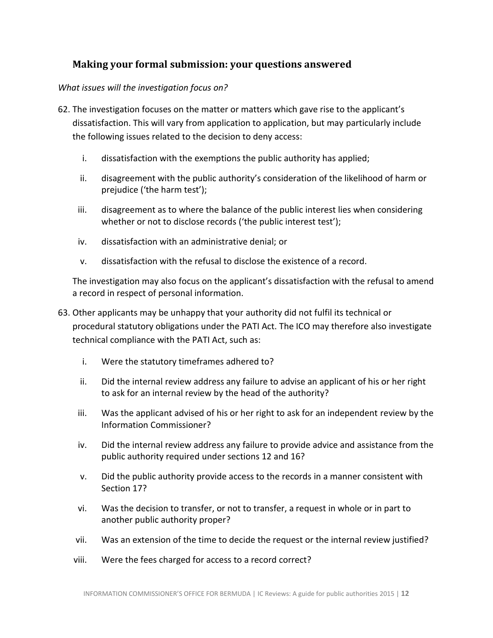## <span id="page-11-0"></span>**Making your formal submission: your questions answered**

#### *What issues will the investigation focus on?*

- 62. The investigation focuses on the matter or matters which gave rise to the applicant's dissatisfaction. This will vary from application to application, but may particularly include the following issues related to the decision to deny access:
	- i. dissatisfaction with the exemptions the public authority has applied;
	- ii. disagreement with the public authority's consideration of the likelihood of harm or prejudice ('the harm test');
	- iii. disagreement as to where the balance of the public interest lies when considering whether or not to disclose records ('the public interest test');
	- iv. dissatisfaction with an administrative denial; or
	- v. dissatisfaction with the refusal to disclose the existence of a record.

The investigation may also focus on the applicant's dissatisfaction with the refusal to amend a record in respect of personal information.

- 63. Other applicants may be unhappy that your authority did not fulfil its technical or procedural statutory obligations under the PATI Act. The ICO may therefore also investigate technical compliance with the PATI Act, such as:
	- i. Were the statutory timeframes adhered to?
	- ii. Did the internal review address any failure to advise an applicant of his or her right to ask for an internal review by the head of the authority?
	- iii. Was the applicant advised of his or her right to ask for an independent review by the Information Commissioner?
	- iv. Did the internal review address any failure to provide advice and assistance from the public authority required under sections 12 and 16?
	- v. Did the public authority provide access to the records in a manner consistent with Section 17?
	- vi. Was the decision to transfer, or not to transfer, a request in whole or in part to another public authority proper?
	- vii. Was an extension of the time to decide the request or the internal review justified?
	- viii. Were the fees charged for access to a record correct?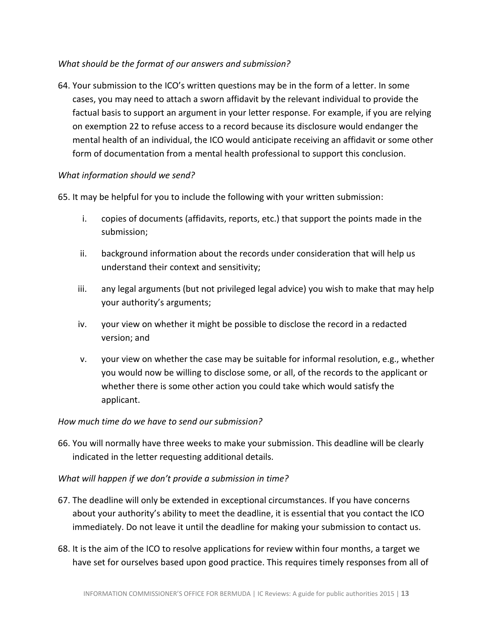## *What should be the format of our answers and submission?*

64. Your submission to the ICO's written questions may be in the form of a letter. In some cases, you may need to attach a sworn affidavit by the relevant individual to provide the factual basis to support an argument in your letter response. For example, if you are relying on exemption 22 to refuse access to a record because its disclosure would endanger the mental health of an individual, the ICO would anticipate receiving an affidavit or some other form of documentation from a mental health professional to support this conclusion.

## *What information should we send?*

65. It may be helpful for you to include the following with your written submission:

- i. copies of documents (affidavits, reports, etc.) that support the points made in the submission;
- ii. background information about the records under consideration that will help us understand their context and sensitivity;
- iii. any legal arguments (but not privileged legal advice) you wish to make that may help your authority's arguments;
- iv. your view on whether it might be possible to disclose the record in a redacted version; and
- v. your view on whether the case may be suitable for informal resolution, e.g., whether you would now be willing to disclose some, or all, of the records to the applicant or whether there is some other action you could take which would satisfy the applicant.

## *How much time do we have to send our submission?*

66. You will normally have three weeks to make your submission. This deadline will be clearly indicated in the letter requesting additional details.

## *What will happen if we don't provide a submission in time?*

- 67. The deadline will only be extended in exceptional circumstances. If you have concerns about your authority's ability to meet the deadline, it is essential that you contact the ICO immediately. Do not leave it until the deadline for making your submission to contact us.
- 68. It is the aim of the ICO to resolve applications for review within four months, a target we have set for ourselves based upon good practice. This requires timely responses from all of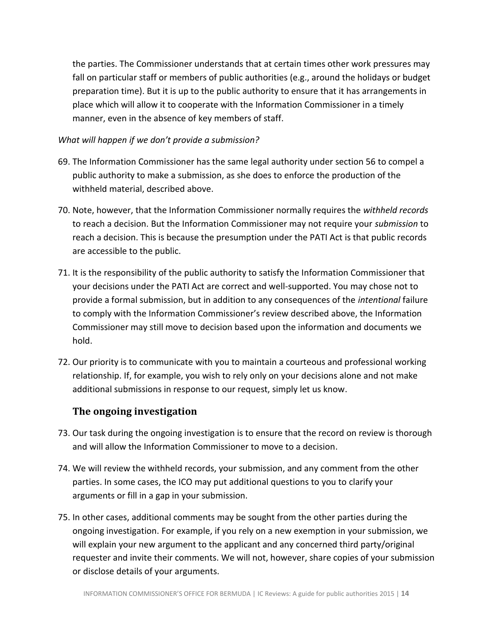the parties. The Commissioner understands that at certain times other work pressures may fall on particular staff or members of public authorities (e.g., around the holidays or budget preparation time). But it is up to the public authority to ensure that it has arrangements in place which will allow it to cooperate with the Information Commissioner in a timely manner, even in the absence of key members of staff.

#### *What will happen if we don't provide a submission?*

- 69. The Information Commissioner has the same legal authority under section 56 to compel a public authority to make a submission, as she does to enforce the production of the withheld material, described above.
- 70. Note, however, that the Information Commissioner normally requires the *withheld records* to reach a decision. But the Information Commissioner may not require your *submission* to reach a decision. This is because the presumption under the PATI Act is that public records are accessible to the public.
- 71. It is the responsibility of the public authority to satisfy the Information Commissioner that your decisions under the PATI Act are correct and well-supported. You may chose not to provide a formal submission, but in addition to any consequences of the *intentional* failure to comply with the Information Commissioner's review described above, the Information Commissioner may still move to decision based upon the information and documents we hold.
- 72. Our priority is to communicate with you to maintain a courteous and professional working relationship. If, for example, you wish to rely only on your decisions alone and not make additional submissions in response to our request, simply let us know.

## <span id="page-13-0"></span>**The ongoing investigation**

- 73. Our task during the ongoing investigation is to ensure that the record on review is thorough and will allow the Information Commissioner to move to a decision.
- 74. We will review the withheld records, your submission, and any comment from the other parties. In some cases, the ICO may put additional questions to you to clarify your arguments or fill in a gap in your submission.
- 75. In other cases, additional comments may be sought from the other parties during the ongoing investigation. For example, if you rely on a new exemption in your submission, we will explain your new argument to the applicant and any concerned third party/original requester and invite their comments. We will not, however, share copies of your submission or disclose details of your arguments.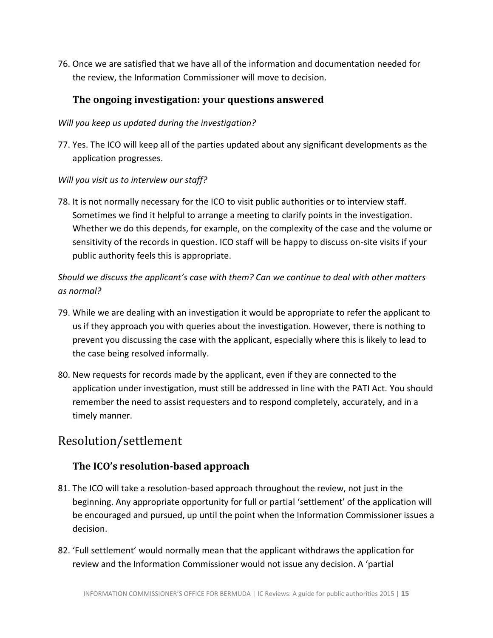76. Once we are satisfied that we have all of the information and documentation needed for the review, the Information Commissioner will move to decision.

## <span id="page-14-0"></span>**The ongoing investigation: your questions answered**

## *Will you keep us updated during the investigation?*

77. Yes. The ICO will keep all of the parties updated about any significant developments as the application progresses.

## *Will you visit us to interview our staff?*

78. It is not normally necessary for the ICO to visit public authorities or to interview staff. Sometimes we find it helpful to arrange a meeting to clarify points in the investigation. Whether we do this depends, for example, on the complexity of the case and the volume or sensitivity of the records in question. ICO staff will be happy to discuss on-site visits if your public authority feels this is appropriate.

*Should we discuss the applicant's case with them? Can we continue to deal with other matters as normal?*

- 79. While we are dealing with an investigation it would be appropriate to refer the applicant to us if they approach you with queries about the investigation. However, there is nothing to prevent you discussing the case with the applicant, especially where this is likely to lead to the case being resolved informally.
- 80. New requests for records made by the applicant, even if they are connected to the application under investigation, must still be addressed in line with the PATI Act. You should remember the need to assist requesters and to respond completely, accurately, and in a timely manner.

# <span id="page-14-1"></span>Resolution/settlement

## <span id="page-14-2"></span>**The ICO's resolution-based approach**

- 81. The ICO will take a resolution-based approach throughout the review, not just in the beginning. Any appropriate opportunity for full or partial 'settlement' of the application will be encouraged and pursued, up until the point when the Information Commissioner issues a decision.
- 82. 'Full settlement' would normally mean that the applicant withdraws the application for review and the Information Commissioner would not issue any decision. A 'partial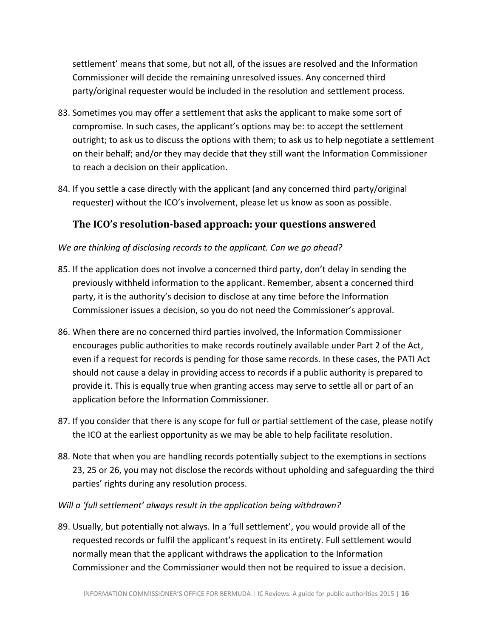settlement' means that some, but not all, of the issues are resolved and the Information Commissioner will decide the remaining unresolved issues. Any concerned third party/original requester would be included in the resolution and settlement process.

- 83. Sometimes you may offer a settlement that asks the applicant to make some sort of compromise. In such cases, the applicant's options may be: to accept the settlement outright; to ask us to discuss the options with them; to ask us to help negotiate a settlement on their behalf; and/or they may decide that they still want the Information Commissioner to reach a decision on their application.
- 84. If you settle a case directly with the applicant (and any concerned third party/original requester) without the ICO's involvement, please let us know as soon as possible.

## <span id="page-15-0"></span>**The ICO's resolution-based approach: your questions answered**

## *We are thinking of disclosing records to the applicant. Can we go ahead?*

- 85. If the application does not involve a concerned third party, don't delay in sending the previously withheld information to the applicant. Remember, absent a concerned third party, it is the authority's decision to disclose at any time before the Information Commissioner issues a decision, so you do not need the Commissioner's approval.
- 86. When there are no concerned third parties involved, the Information Commissioner encourages public authorities to make records routinely available under Part 2 of the Act, even if a request for records is pending for those same records. In these cases, the PATI Act should not cause a delay in providing access to records if a public authority is prepared to provide it. This is equally true when granting access may serve to settle all or part of an application before the Information Commissioner.
- 87. If you consider that there is any scope for full or partial settlement of the case, please notify the ICO at the earliest opportunity as we may be able to help facilitate resolution.
- 88. Note that when you are handling records potentially subject to the exemptions in sections 23, 25 or 26, you may not disclose the records without upholding and safeguarding the third parties' rights during any resolution process.
- *Will a 'full settlement' always result in the application being withdrawn?*
- 89. Usually, but potentially not always. In a 'full settlement', you would provide all of the requested records or fulfil the applicant's request in its entirety. Full settlement would normally mean that the applicant withdraws the application to the Information Commissioner and the Commissioner would then not be required to issue a decision.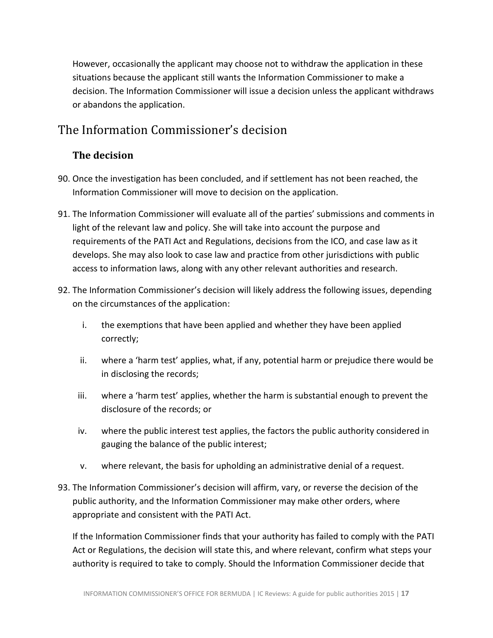However, occasionally the applicant may choose not to withdraw the application in these situations because the applicant still wants the Information Commissioner to make a decision. The Information Commissioner will issue a decision unless the applicant withdraws or abandons the application.

# <span id="page-16-0"></span>The Information Commissioner's decision

## <span id="page-16-1"></span>**The decision**

- 90. Once the investigation has been concluded, and if settlement has not been reached, the Information Commissioner will move to decision on the application.
- 91. The Information Commissioner will evaluate all of the parties' submissions and comments in light of the relevant law and policy. She will take into account the purpose and requirements of the PATI Act and Regulations, decisions from the ICO, and case law as it develops. She may also look to case law and practice from other jurisdictions with public access to information laws, along with any other relevant authorities and research.
- 92. The Information Commissioner's decision will likely address the following issues, depending on the circumstances of the application:
	- i. the exemptions that have been applied and whether they have been applied correctly;
	- ii. where a 'harm test' applies, what, if any, potential harm or prejudice there would be in disclosing the records;
	- iii. where a 'harm test' applies, whether the harm is substantial enough to prevent the disclosure of the records; or
	- iv. where the public interest test applies, the factors the public authority considered in gauging the balance of the public interest;
	- v. where relevant, the basis for upholding an administrative denial of a request.
- 93. The Information Commissioner's decision will affirm, vary, or reverse the decision of the public authority, and the Information Commissioner may make other orders, where appropriate and consistent with the PATI Act.

If the Information Commissioner finds that your authority has failed to comply with the PATI Act or Regulations, the decision will state this, and where relevant, confirm what steps your authority is required to take to comply. Should the Information Commissioner decide that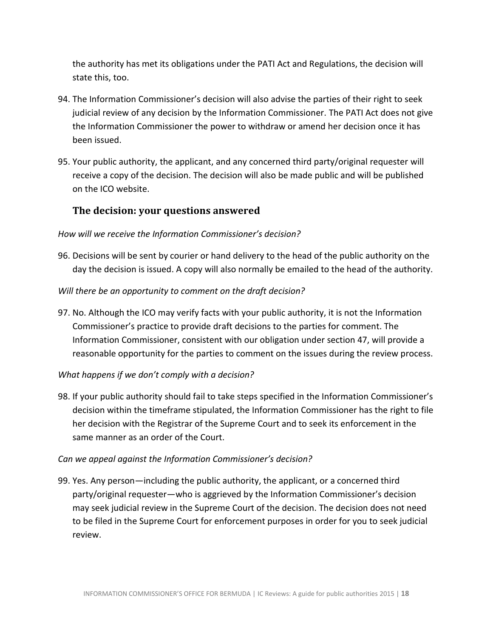the authority has met its obligations under the PATI Act and Regulations, the decision will state this, too.

- 94. The Information Commissioner's decision will also advise the parties of their right to seek judicial review of any decision by the Information Commissioner. The PATI Act does not give the Information Commissioner the power to withdraw or amend her decision once it has been issued.
- 95. Your public authority, the applicant, and any concerned third party/original requester will receive a copy of the decision. The decision will also be made public and will be published on the ICO website.

## <span id="page-17-0"></span>**The decision: your questions answered**

#### *How will we receive the Information Commissioner's decision?*

96. Decisions will be sent by courier or hand delivery to the head of the public authority on the day the decision is issued. A copy will also normally be emailed to the head of the authority.

#### *Will there be an opportunity to comment on the draft decision?*

97. No. Although the ICO may verify facts with your public authority, it is not the Information Commissioner's practice to provide draft decisions to the parties for comment. The Information Commissioner, consistent with our obligation under section 47, will provide a reasonable opportunity for the parties to comment on the issues during the review process.

## *What happens if we don't comply with a decision?*

98. If your public authority should fail to take steps specified in the Information Commissioner's decision within the timeframe stipulated, the Information Commissioner has the right to file her decision with the Registrar of the Supreme Court and to seek its enforcement in the same manner as an order of the Court.

#### *Can we appeal against the Information Commissioner's decision?*

99. Yes. Any person—including the public authority, the applicant, or a concerned third party/original requester—who is aggrieved by the Information Commissioner's decision may seek judicial review in the Supreme Court of the decision. The decision does not need to be filed in the Supreme Court for enforcement purposes in order for you to seek judicial review.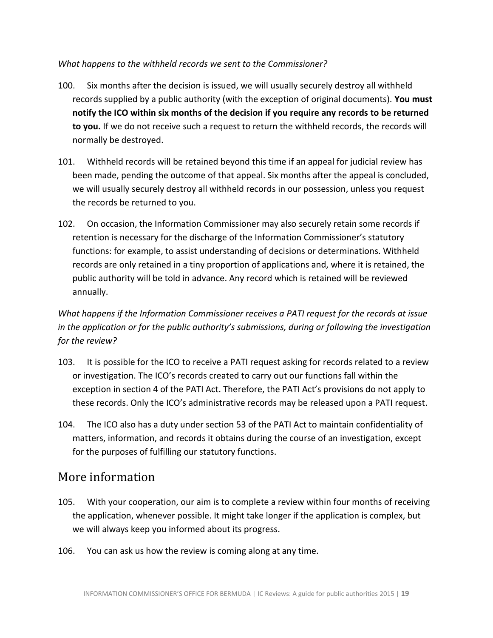## *What happens to the withheld records we sent to the Commissioner?*

- 100. Six months after the decision is issued, we will usually securely destroy all withheld records supplied by a public authority (with the exception of original documents). **You must notify the ICO within six months of the decision if you require any records to be returned to you.** If we do not receive such a request to return the withheld records, the records will normally be destroyed.
- 101. Withheld records will be retained beyond this time if an appeal for judicial review has been made, pending the outcome of that appeal. Six months after the appeal is concluded, we will usually securely destroy all withheld records in our possession, unless you request the records be returned to you.
- 102. On occasion, the Information Commissioner may also securely retain some records if retention is necessary for the discharge of the Information Commissioner's statutory functions: for example, to assist understanding of decisions or determinations. Withheld records are only retained in a tiny proportion of applications and, where it is retained, the public authority will be told in advance. Any record which is retained will be reviewed annually.

## *What happens if the Information Commissioner receives a PATI request for the records at issue in the application or for the public authority's submissions, during or following the investigation for the review?*

- 103. It is possible for the ICO to receive a PATI request asking for records related to a review or investigation. The ICO's records created to carry out our functions fall within the exception in section 4 of the PATI Act. Therefore, the PATI Act's provisions do not apply to these records. Only the ICO's administrative records may be released upon a PATI request.
- 104. The ICO also has a duty under section 53 of the PATI Act to maintain confidentiality of matters, information, and records it obtains during the course of an investigation, except for the purposes of fulfilling our statutory functions.

## <span id="page-18-0"></span>More information

- 105. With your cooperation, our aim is to complete a review within four months of receiving the application, whenever possible. It might take longer if the application is complex, but we will always keep you informed about its progress.
- 106. You can ask us how the review is coming along at any time.